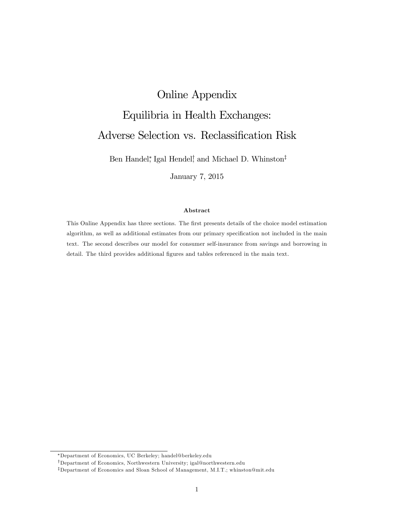# Online Appendix Equilibria in Health Exchanges: Adverse Selection vs. Reclassification Risk

Ben Handel, Igal Hendel, and Michael D. Whinston<sup>‡</sup>

January 7, 2015

#### Abstract

This Online Appendix has three sections. The first presents details of the choice model estimation algorithm, as well as additional estimates from our primary specification not included in the main text. The second describes our model for consumer self-insurance from savings and borrowing in detail. The third provides additional figures and tables referenced in the main text.

Department of Economics, UC Berkeley; handel@berkeley.edu

<sup>&</sup>lt;sup>†</sup>Department of Economics, Northwestern University; igal@northwestern.edu

<sup>&</sup>lt;sup>‡</sup>Department of Economics and Sloan School of Management, M.I.T.; whinston@mit.edu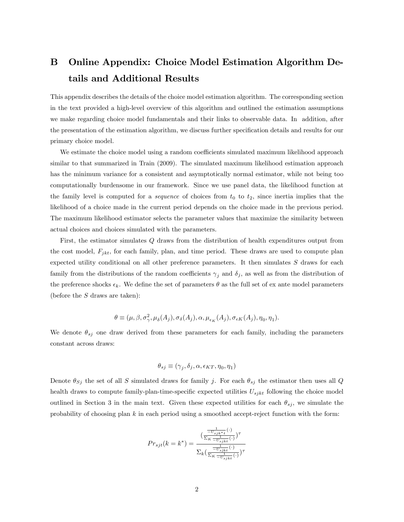## B Online Appendix: Choice Model Estimation Algorithm Details and Additional Results

This appendix describes the details of the choice model estimation algorithm. The corresponding section in the text provided a high-level overview of this algorithm and outlined the estimation assumptions we make regarding choice model fundamentals and their links to observable data. In addition, after the presentation of the estimation algorithm, we discuss further specification details and results for our primary choice model.

We estimate the choice model using a random coefficients simulated maximum likelihood approach similar to that summarized in Train (2009). The simulated maximum likelihood estimation approach has the minimum variance for a consistent and asymptotically normal estimator, while not being too computationally burdensome in our framework. Since we use panel data, the likelihood function at the family level is computed for a *sequence* of choices from  $t_0$  to  $t_2$ , since inertia implies that the likelihood of a choice made in the current period depends on the choice made in the previous period. The maximum likelihood estimator selects the parameter values that maximize the similarity between actual choices and choices simulated with the parameters.

First, the estimator simulates Q draws from the distribution of health expenditures output from the cost model,  $F_{jkt}$ , for each family, plan, and time period. These draws are used to compute plan expected utility conditional on all other preference parameters. It then simulates S draws for each family from the distributions of the random coefficients  $\gamma_j$  and  $\delta_j$ , as well as from the distribution of the preference shocks  $\epsilon_k$ . We define the set of parameters  $\theta$  as the full set of ex ante model parameters (before the  $S$  draws are taken):

$$
\theta \equiv (\mu, \beta, \sigma^2, \mu_{\delta}(A_j), \sigma_{\delta}(A_j), \alpha, \mu_{\epsilon_K}(A_j), \sigma_{\epsilon K}(A_j), \eta_0, \eta_1).
$$

We denote  $\theta_{sj}$  one draw derived from these parameters for each family, including the parameters constant across draws:

$$
\theta_{sj} \equiv (\gamma_j, \delta_j, \alpha, \epsilon_{KT}, \eta_0, \eta_1)
$$

Denote  $\theta_{Sj}$  the set of all S simulated draws for family j. For each  $\theta_{sj}$  the estimator then uses all Q health draws to compute family-plan-time-specific expected utilities  $U_{sjkt}$  following the choice model outlined in Section 3 in the main text. Given these expected utilities for each  $\theta_{sj}$ , we simulate the probability of choosing plan  $k$  in each period using a smoothed accept-reject function with the form:

$$
Pr_{sjt}(k=k^*) = \frac{(\frac{-U_{sjkt^*t}(\cdot)}{\Sigma_K - U_{sjkt}(\cdot)})^{\tau}}{\sum_k (\frac{-U_{sjkt}(\cdot)}{\Sigma_K - U_{sjkt}(\cdot)})^{\tau}}
$$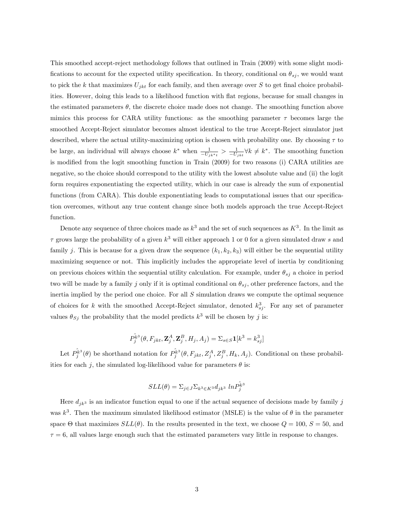This smoothed accept-reject methodology follows that outlined in Train (2009) with some slight modifications to account for the expected utility specification. In theory, conditional on  $\theta_{sj}$ , we would want to pick the k that maximizes  $U_{jkt}$  for each family, and then average over S to get final choice probabilities. However, doing this leads to a likelihood function with áat regions, because for small changes in the estimated parameters  $\theta$ , the discrete choice made does not change. The smoothing function above mimics this process for CARA utility functions: as the smoothing parameter  $\tau$  becomes large the smoothed Accept-Reject simulator becomes almost identical to the true Accept-Reject simulator just described, where the actual utility-maximizing option is chosen with probability one. By choosing  $\tau$  to be large, an individual will always choose  $k^*$  when  $\frac{1}{-U_{jk}*_{t}} > \frac{1}{-U_{jk}*_{t}} \forall k \neq k^*$ . The smoothing function is modified from the logit smoothing function in Train (2009) for two reasons (i) CARA utilities are negative, so the choice should correspond to the utility with the lowest absolute value and (ii) the logit form requires exponentiating the expected utility, which in our case is already the sum of exponential functions (from CARA). This double exponentiating leads to computational issues that our specification overcomes, without any true content change since both models approach the true Accept-Reject function.

Denote any sequence of three choices made as  $k^3$  and the set of such sequences as  $K^3$ . In the limit as  $\tau$  grows large the probability of a given  $k^3$  will either approach 1 or 0 for a given simulated draw s and family j. This is because for a given draw the sequence  $(k_1, k_2, k_3)$  will either be the sequential utility maximizing sequence or not. This implicitly includes the appropriate level of inertia by conditioning on previous choices within the sequential utility calculation. For example, under  $\theta_{sj}$  a choice in period two will be made by a family j only if it is optimal conditional on  $\theta_{sj}$ , other preference factors, and the inertia implied by the period one choice. For all S simulation draws we compute the optimal sequence of choices for k with the smoothed Accept-Reject simulator, denoted  $k_{sj}^3$ . For any set of parameter values  $\theta_{Sj}$  the probability that the model predicts  $k^3$  will be chosen by j is:

$$
P_{j}^{\hat{k}^3}(\theta,F_{jkt},\mathbf{Z}_{j}^A,\mathbf{Z}_{j}^B,H_j,A_j)=\Sigma_{s\in S}\mathbf{1}[k^3=k_{sj}^3]
$$

Let  $P_j^{\hat{k}^3}(\theta)$  be shorthand notation for  $P_j^{\hat{k}^3}(\theta, F_{jkt}, Z_j^A, Z_j^B, H_k, A_j)$ . Conditional on these probabilities for each j, the simulated log-likelihood value for parameters  $\theta$  is:

$$
SLL(\theta) = \sum_{j \in J} \sum_{k^3 \in K^3} d_{jk^3} \ln \hat{P}_j^{\hat{k}^3}
$$

Here  $d_{jk}$ <sup>3</sup> is an indicator function equal to one if the actual sequence of decisions made by family j was  $k^3$ . Then the maximum simulated likelihood estimator (MSLE) is the value of  $\theta$  in the parameter space  $\Theta$  that maximizes  $SLL(\theta)$ . In the results presented in the text, we choose  $Q = 100$ ,  $S = 50$ , and  $\tau = 6$ , all values large enough such that the estimated parameters vary little in response to changes.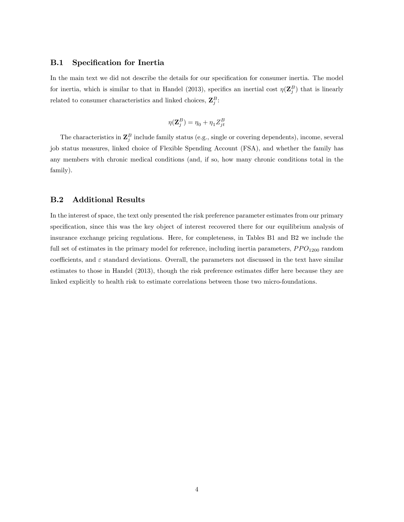### **B.1** Specification for Inertia

In the main text we did not describe the details for our specification for consumer inertia. The model for inertia, which is similar to that in Handel (2013), specifics an inertial cost  $\eta(\mathbf{Z}_{j}^{B})$  that is linearly related to consumer characteristics and linked choices,  $\mathbf{Z}_{j}^{B}$ :

$$
\eta(\mathbf{Z}_{j}^{B}) = \eta_0 + \eta_1 Z_{jt}^{B}
$$

The characteristics in  $\mathbf{Z}_{j}^{B}$  include family status (e.g., single or covering dependents), income, several job status measures, linked choice of Flexible Spending Account (FSA), and whether the family has any members with chronic medical conditions (and, if so, how many chronic conditions total in the family).

## B.2 Additional Results

In the interest of space, the text only presented the risk preference parameter estimates from our primary specification, since this was the key object of interest recovered there for our equilibrium analysis of insurance exchange pricing regulations. Here, for completeness, in Tables B1 and B2 we include the full set of estimates in the primary model for reference, including inertia parameters,  $PPO<sub>1200</sub>$  random coefficients, and  $\varepsilon$  standard deviations. Overall, the parameters not discussed in the text have similar estimates to those in Handel (2013), though the risk preference estimates differ here because they are linked explicitly to health risk to estimate correlations between those two micro-foundations.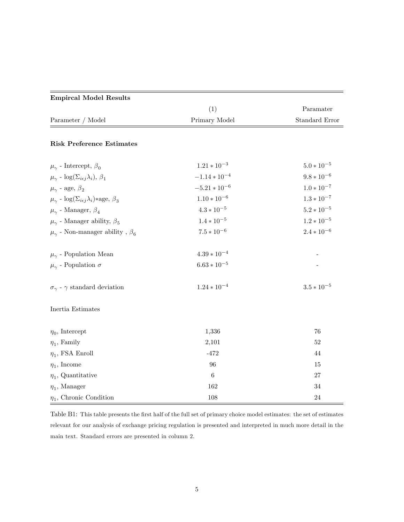| <b>Empircal Model Results</b>                                          |                   |                       |
|------------------------------------------------------------------------|-------------------|-----------------------|
|                                                                        | (1)               | Paramater             |
| Parameter / Model                                                      | Primary Model     | <b>Standard Error</b> |
| <b>Risk Preference Estimates</b>                                       |                   |                       |
| $\mu_{\gamma}$ - Intercept, $\beta_0$                                  | $1.21 * 10^{-3}$  | $5.0 * 10^{-5}$       |
| $\mu_{\gamma}$ - $\log(\Sigma_{i\epsilon j}\lambda_i), \beta_1$        | $-1.14 * 10^{-4}$ | $9.8 * 10^{-6}$       |
| $\mu_{\gamma}$ - age, $\beta_2$                                        | $-5.21 * 10^{-6}$ | $1.0 * 10^{-7}$       |
| $\mu_{\gamma}$ - log( $\Sigma_{i\epsilon j}\lambda_i$ )*age, $\beta_3$ | $1.10 * 10^{-6}$  | $1.3 * 10^{-7}$       |
| $\mu_{\gamma}$ - Manager, $\beta_4$                                    | $4.3*10^{-5}$     | $5.2 * 10^{-5}$       |
| $\mu_{\gamma}$ - Manager ability, $\beta_{5}$                          | $1.4 * 10^{-5}$   | $1.2 * 10^{-5}$       |
| $\mu_\gamma$ - Non-manager ability , $\beta_6$                         | $7.5*10^{-6}$     | $2.4 * 10^{-6}$       |
| $\mu_{\gamma}$ - Population Mean                                       | $4.39 * 10^{-4}$  |                       |
| $\mu_\gamma$ - Population $\sigma$                                     | $6.63 * 10^{-5}$  |                       |
| $\sigma_{\gamma}$ - $\gamma$ standard deviation                        | $1.24 * 10^{-4}$  | $3.5 * 10^{-5}$       |
| Inertia Estimates                                                      |                   |                       |
| $\eta_0$ , Intercept                                                   | 1,336             | 76                    |
| $\eta_1$ , Family                                                      | 2,101             | 52                    |
| $\eta_1$ , FSA Enroll                                                  | $-472$            | 44                    |
| $\eta_1,$ Income                                                       | 96                | $15\,$                |
| $\eta_1$ , Quantitative                                                | $\sqrt{6}$        | 27                    |
| $\eta_1$ , Manager                                                     | 162               | $34\,$                |
| $\eta_1$ , Chronic Condition                                           | 108               | $24\,$                |

Table B1: This table presents the first half of the full set of primary choice model estimates: the set of estimates relevant for our analysis of exchange pricing regulation is presented and interpreted in much more detail in the main text. Standard errors are presented in column 2.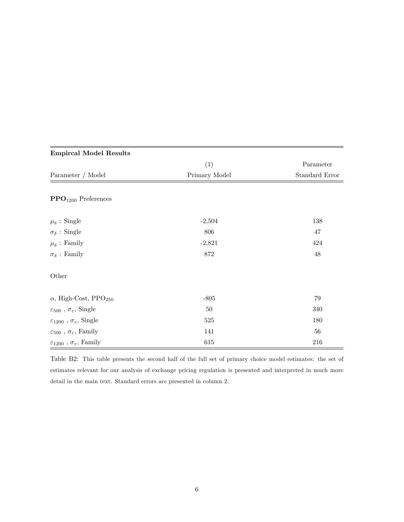| <b>Empircal Model Results</b>                         |               |                |
|-------------------------------------------------------|---------------|----------------|
|                                                       | (1)           | Parameter      |
| Parameter / Model                                     | Primary Model | Standard Error |
| $\text{PPO}_{1200}$ Preferences                       |               |                |
| $\mu_{\delta}$ : Single                               | $-2,504$      | 138            |
| $\sigma_{\delta}$ : Single                            | 806           | $47\,$         |
| $\mu_{\delta}$ : Family                               | $-2,821$      | 424            |
| $\sigma_{\delta}$ : Family                            | 872           | $48\,$         |
| Other                                                 |               |                |
| $\alpha$ , High-Cost, PPO <sub>250</sub>              | $-805$        | $79\,$         |
| $\varepsilon_{500}$ , $\sigma_{\varepsilon},$ Single  | 50            | 340            |
| $\varepsilon_{1200}$ , $\sigma_{\varepsilon},$ Single | 525           | 180            |
| $\varepsilon_{500}$ , $\sigma_{\varepsilon},$ Family  | 141           | $56\,$         |
| $\varepsilon_{1200}$ , $\sigma_{\varepsilon},$ Family | 615           | 216            |

## Table B2: This table presents the second half of the full set of primary choice model estimates: the set of estimates relevant for our analysis of exchange pricing regulation is presented and interpreted in much more detail in the main text. Standard errors are presented in column 2.

## 6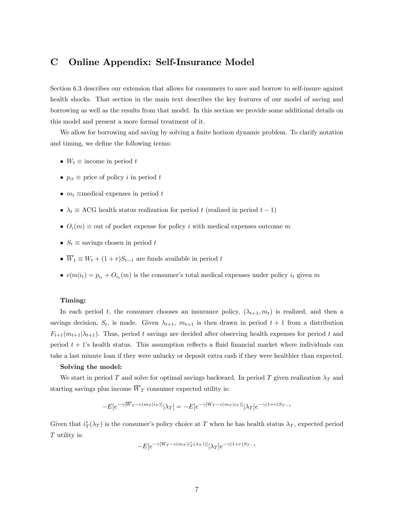## C Online Appendix: Self-Insurance Model

Section 6.3 describes our extension that allows for consumers to save and borrow to self-insure against health shocks. That section in the main text describes the key features of our model of saving and borrowing as well as the results from that model. In this section we provide some additional details on this model and present a more formal treatment of it.

We allow for borrowing and saving by solving a finite horizon dynamic problem. To clarify notation and timing, we define the following terms:

- $W_t \equiv \text{income in period } t$
- $p_{it} \equiv$  price of policy i in period t
- $m_t \equiv$ medical expenses in period t
- $\lambda_t \equiv \text{ACG}$  health status realization for period t (realized in period  $t 1$ )
- $O_i(m) \equiv$  out of pocket expense for policy i with medical expenses outcome m
- $S_t \equiv$  savings chosen in period t
- $\overline{W}_t \equiv W_t + (1+r)S_{t-1}$  are funds available in period t
- $c(m|i_t) = p_{i_t} + O_{i_t}(m)$  is the consumer's total medical expenses under policy  $i_t$  given m

#### Timing:

In each period t, the consumer chooses an insurance policy,  $(\lambda_{t+1}, m_t)$  is realized, and then a savings decision,  $S_t$ , is made. Given  $\lambda_{t+1}$ ,  $m_{t+1}$  is then drawn in period  $t + 1$  from a distribution  $F_{t+1}(m_{t+1}|\lambda_{t+1})$ . Thus, period t savings are decided after observing health expenses for period t and period  $t + 1$ 's health status. This assumption reflects a fluid financial market where individuals can take a last minute loan if they were unlucky or deposit extra cash if they were healthier than expected.

#### Solving the model:

We start in period T and solve for optimal savings backward. In period T given realization  $\lambda_T$  and starting savings plus income  $\overline{W}_T$  consumer expected utility is:

$$
-E[e^{-\gamma [\overline{W}_{T}-c(m_{T}|i_{T})]}|\lambda_{T}]=-E[e^{-\gamma [W_{T}-c(m_{T}|i_{T})]}|\lambda_{T}]e^{-\gamma (1+r)S_{T-1}}
$$

Given that  $i_T^*(\lambda_T)$  is the consumer's policy choice at T when he has health status  $\lambda_T$ , expected period  $T$  utility is:

$$
-E[e^{-\gamma[W_T- c(m_T|i_T^*(\lambda_T))]}|\lambda_T]e^{-\gamma(1+r)S_{T-1}}
$$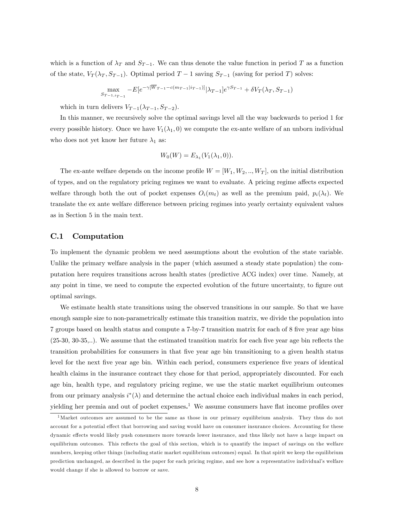which is a function of  $\lambda_T$  and  $S_{T-1}$ . We can thus denote the value function in period T as a function of the state,  $V_T(\lambda_T, S_{T-1})$ . Optimal period  $T-1$  saving  $S_{T-1}$  (saving for period T) solves:

$$
\max_{S_{T-1,i_{T-1}}} -E[e^{-\gamma[\overline{W}_{T-1}-c(m_{T-1}|i_{T-1})]}|\lambda_{T-1}]e^{\gamma S_{T-1}} + \delta V_T(\lambda_T, S_{T-1})
$$

which in turn delivers  $V_{T-1}(\lambda_{T-1}, S_{T-2}).$ 

In this manner, we recursively solve the optimal savings level all the way backwards to period 1 for every possible history. Once we have  $V_1(\lambda_1, 0)$  we compute the ex-ante welfare of an unborn individual who does not yet know her future  $\lambda_1$  as:

$$
W_0(W) = E_{\lambda_1}(V_1(\lambda_1, 0)).
$$

The ex-ante welfare depends on the income profile  $W = [W_1, W_2, ..., W_T]$ , on the initial distribution of types, and on the regulatory pricing regimes we want to evaluate. A pricing regime affects expected welfare through both the out of pocket expenses  $O_i(m_t)$  as well as the premium paid,  $p_i(\lambda_t)$ . We translate the ex ante welfare difference between pricing regimes into yearly certainty equivalent values as in Section 5 in the main text.

## C.1 Computation

To implement the dynamic problem we need assumptions about the evolution of the state variable. Unlike the primary welfare analysis in the paper (which assumed a steady state population) the computation here requires transitions across health states (predictive ACG index) over time. Namely, at any point in time, we need to compute the expected evolution of the future uncertainty, to figure out optimal savings.

We estimate health state transitions using the observed transitions in our sample. So that we have enough sample size to non-parametrically estimate this transition matrix, we divide the population into 7 groups based on health status and compute a 7-by-7 transition matrix for each of 8 five year age bins  $(25-30, 30-35...)$ . We assume that the estimated transition matrix for each five year age bin reflects the transition probabilities for consumers in that Öve year age bin transitioning to a given health status level for the next five year age bin. Within each period, consumers experience five years of identical health claims in the insurance contract they chose for that period, appropriately discounted. For each age bin, health type, and regulatory pricing regime, we use the static market equilibrium outcomes from our primary analysis  $i^*(\lambda)$  and determine the actual choice each individual makes in each period, yielding her premia and out of pocket expenses.<sup>1</sup> We assume consumers have flat income profiles over

<sup>&</sup>lt;sup>1</sup>Market outcomes are assumed to be the same as those in our primary equilibrium analysis. They thus do not account for a potential effect that borrowing and saving would have on consumer insurance choices. Accounting for these dynamic effects would likely push consumers more towards lower insurance, and thus likely not have a large impact on equilibrium outcomes. This reflects the goal of this section, which is to quantify the impact of savings on the welfare numbers, keeping other things (including static market equilibrium outcomes) equal. In that spirit we keep the equilibrium prediction unchanged, as described in the paper for each pricing regime, and see how a representative individualís welfare would change if she is allowed to borrow or save.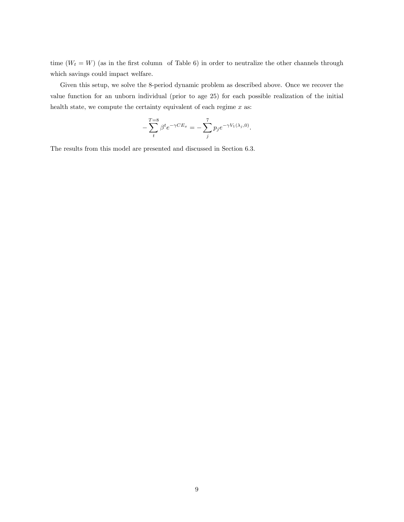time  $(W_t = W)$  (as in the first column of Table 6) in order to neutralize the other channels through which savings could impact welfare.

Given this setup, we solve the 8-period dynamic problem as described above. Once we recover the value function for an unborn individual (prior to age 25) for each possible realization of the initial health state, we compute the certainty equivalent of each regime  $x$  as:

$$
-\sum_{t}^{T=8} \beta^t e^{-\gamma CE_x} = -\sum_{j}^{7} p_j e^{-\gamma V_1(\lambda_j, 0)}.
$$

The results from this model are presented and discussed in Section 6.3.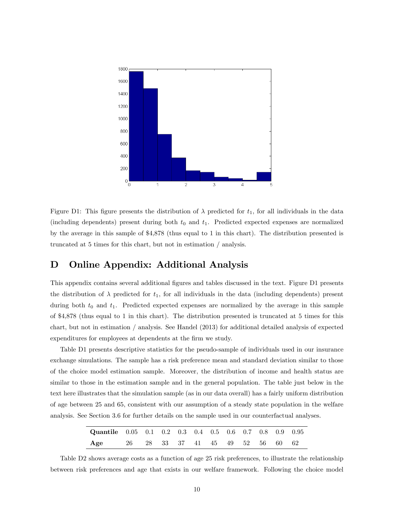

Figure D1: This figure presents the distribution of  $\lambda$  predicted for  $t_1$ , for all individuals in the data (including dependents) present during both  $t_0$  and  $t_1$ . Predicted expected expenses are normalized by the average in this sample of \$4,878 (thus equal to 1 in this chart). The distribution presented is truncated at 5 times for this chart, but not in estimation / analysis.

## D Online Appendix: Additional Analysis

This appendix contains several additional figures and tables discussed in the text. Figure D1 presents the distribution of  $\lambda$  predicted for  $t_1$ , for all individuals in the data (including dependents) present during both  $t_0$  and  $t_1$ . Predicted expected expenses are normalized by the average in this sample of \$4,878 (thus equal to 1 in this chart). The distribution presented is truncated at 5 times for this chart, but not in estimation / analysis. See Handel (2013) for additional detailed analysis of expected expenditures for employees at dependents at the firm we study.

Table D1 presents descriptive statistics for the pseudo-sample of individuals used in our insurance exchange simulations. The sample has a risk preference mean and standard deviation similar to those of the choice model estimation sample. Moreover, the distribution of income and health status are similar to those in the estimation sample and in the general population. The table just below in the text here illustrates that the simulation sample (as in our data overall) has a fairly uniform distribution of age between 25 and 65, consistent with our assumption of a steady state population in the welfare analysis. See Section 3.6 for further details on the sample used in our counterfactual analyses.

| <b>Quantile</b> 0.05 0.1 0.2 0.3 0.4 0.5 0.6 0.7 0.8 0.9 0.95 |  |  |  |  |  |  |
|---------------------------------------------------------------|--|--|--|--|--|--|
| Age 26 28 33 37 41 45 49 52 56 60 62                          |  |  |  |  |  |  |

Table D2 shows average costs as a function of age 25 risk preferences, to illustrate the relationship between risk preferences and age that exists in our welfare framework. Following the choice model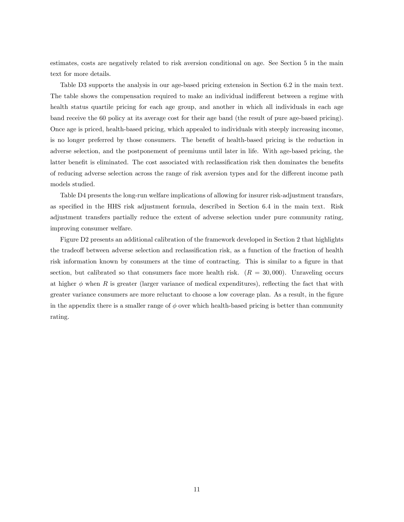estimates, costs are negatively related to risk aversion conditional on age. See Section 5 in the main text for more details.

Table D3 supports the analysis in our age-based pricing extension in Section 6.2 in the main text. The table shows the compensation required to make an individual indifferent between a regime with health status quartile pricing for each age group, and another in which all individuals in each age band receive the 60 policy at its average cost for their age band (the result of pure age-based pricing). Once age is priced, health-based pricing, which appealed to individuals with steeply increasing income, is no longer preferred by those consumers. The benefit of health-based pricing is the reduction in adverse selection, and the postponement of premiums until later in life. With age-based pricing, the latter benefit is eliminated. The cost associated with reclassification risk then dominates the benefits of reducing adverse selection across the range of risk aversion types and for the different income path models studied.

Table D4 presents the long-run welfare implications of allowing for insurer risk-adjustment transfars, as specified in the HHS risk adjustment formula, described in Section 6.4 in the main text. Risk adjustment transfers partially reduce the extent of adverse selection under pure community rating, improving consumer welfare.

Figure D2 presents an additional calibration of the framework developed in Section 2 that highlights the tradeoff between adverse selection and reclassification risk, as a function of the fraction of health risk information known by consumers at the time of contracting. This is similar to a figure in that section, but calibrated so that consumers face more health risk.  $(R = 30,000)$ . Unraveling occurs at higher  $\phi$  when R is greater (larger variance of medical expenditures), reflecting the fact that with greater variance consumers are more reluctant to choose a low coverage plan. As a result, in the figure in the appendix there is a smaller range of  $\phi$  over which health-based pricing is better than community rating.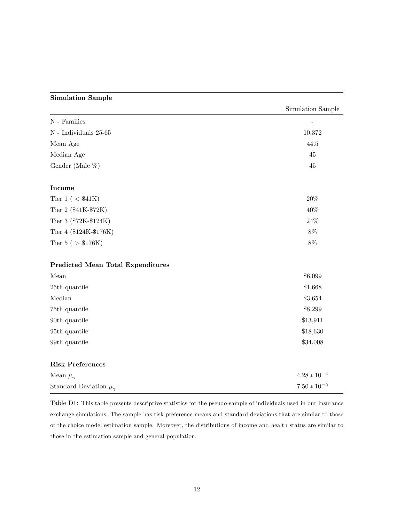## Simulation Sample

|                                          | Simulation Sample |
|------------------------------------------|-------------------|
| ${\cal N}$ - Families                    |                   |
| ${\cal N}$ - Individuals 25-65           | 10,372            |
| Mean Age                                 | 44.5              |
| Median Age                               | 45                |
| Gender (Male %)                          | $45\,$            |
| Income                                   |                   |
| Tier 1 ( $<$ \$41K)                      | $20\%$            |
| Tier 2 (\$41K-\$72K)                     | 40%               |
| Tier 3 (\$72K-\$124K)                    | $24\%$            |
| Tier 4 (\$124K-\$176K)                   | $8\%$             |
| Tier 5 ( $> $176K$ )                     | $8\%$             |
| <b>Predicted Mean Total Expenditures</b> |                   |
| Mean                                     | \$6,099           |
| 25th quantile                            | \$1,668           |
| Median                                   | \$3,654           |
| 75th quantile                            | \$8,299           |
| 90th quantile                            | \$13,911          |
| 95th quantile                            | \$18,630          |
| 99th quantile                            | \$34,008          |
| <b>Risk Preferences</b>                  |                   |
| Mean $\mu_\gamma$                        | $4.28 * 10^{-4}$  |
| Standard Deviation $\mu_{\gamma}$        | $7.50 * 10^{-5}$  |

Table D1: This table presents descriptive statistics for the pseudo-sample of individuals used in our insurance exchange simulations. The sample has risk preference means and standard deviations that are similar to those of the choice model estimation sample. Moreover, the distributions of income and health status are similar to those in the estimation sample and general population.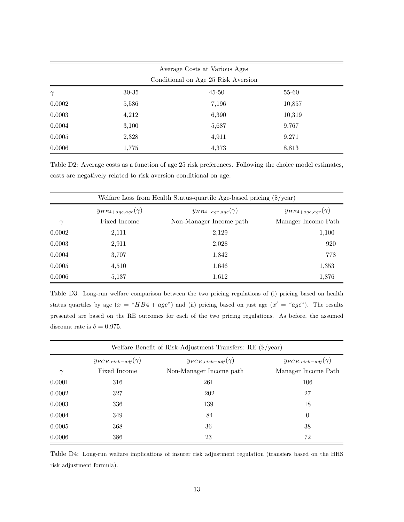| Average Costs at Various Ages<br>Conditional on Age 25 Risk Aversion |       |       |        |  |
|----------------------------------------------------------------------|-------|-------|--------|--|
|                                                                      |       |       |        |  |
| 0.0002                                                               | 5,586 | 7,196 | 10,857 |  |
| 0.0003                                                               | 4,212 | 6,390 | 10,319 |  |
| 0.0004                                                               | 3,100 | 5,687 | 9,767  |  |
| 0.0005                                                               | 2,328 | 4,911 | 9,271  |  |
| 0.0006                                                               | 1,775 | 4,373 | 8,813  |  |

Table D2: Average costs as a function of age 25 risk preferences. Following the choice model estimates, costs are negatively related to risk aversion conditional on age.

| Welfare Loss from Health Status-quartile Age-based pricing $(\frac{6}{2}$ /year) |                                                                                        |                         |                     |  |  |  |
|----------------------------------------------------------------------------------|----------------------------------------------------------------------------------------|-------------------------|---------------------|--|--|--|
|                                                                                  | $y_{HB4+age, age}(\gamma)$<br>$y_{HB4+age, age}(\gamma)$<br>$y_{HB4+age, age}(\gamma)$ |                         |                     |  |  |  |
| $\gamma$                                                                         | Fixed Income                                                                           | Non-Manager Income path | Manager Income Path |  |  |  |
| 0.0002                                                                           | 2,111                                                                                  | 2,129                   | 1,100               |  |  |  |
| 0.0003                                                                           | 2,911                                                                                  | 2,028                   | 920                 |  |  |  |
| 0.0004                                                                           | 3,707                                                                                  | 1,842                   | 778                 |  |  |  |
| 0.0005                                                                           | 4,510                                                                                  | 1,646                   | 1,353               |  |  |  |
| 0.0006                                                                           | 5,137                                                                                  | 1,612                   | 1,876               |  |  |  |

Table D3: Long-run welfare comparison between the two pricing regulations of (i) pricing based on health status quartiles by age  $(x = "HBA + age")$  and (ii) pricing based on just age  $(x' = "age")$ . The results presented are based on the RE outcomes for each of the two pricing regulations. As before, the assumed discount rate is  $\delta = 0.975$ .

| Welfare Benefit of Risk-Adjustment Transfers: RE (\$/year) |                                                                                        |                         |                     |  |  |  |  |  |
|------------------------------------------------------------|----------------------------------------------------------------------------------------|-------------------------|---------------------|--|--|--|--|--|
|                                                            | $y_{PCR,risk-adj}(\gamma)$<br>$y_{PCR,risk-adj}(\gamma)$<br>$y_{PCR,risk-adj}(\gamma)$ |                         |                     |  |  |  |  |  |
| $\gamma$                                                   | Fixed Income                                                                           | Non-Manager Income path | Manager Income Path |  |  |  |  |  |
| 0.0001                                                     | 316                                                                                    | 261                     | 106                 |  |  |  |  |  |
| 0.0002                                                     | 327                                                                                    | 202                     | 27                  |  |  |  |  |  |
| 0.0003                                                     | 336                                                                                    | 139                     | 18                  |  |  |  |  |  |
| 0.0004                                                     | 349                                                                                    | 84                      | $\theta$            |  |  |  |  |  |
| 0.0005                                                     | 368                                                                                    | 36                      | 38                  |  |  |  |  |  |
| 0.0006                                                     | 386                                                                                    | 23                      | 72                  |  |  |  |  |  |

Table D4: Long-run welfare implications of insurer risk adjustment regulation (transfers based on the HHS risk adjustment formula).